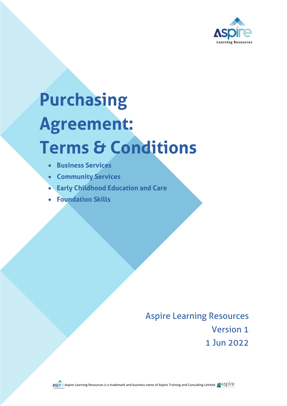

# **Purchasing Agreement: Terms & Conditions**

- **Business Services**
- **Community Services**
- **Early Childhood Education and Care**
- **Foundation Skills**

Aspire Learning Resources Version 1 1 Jun 2022

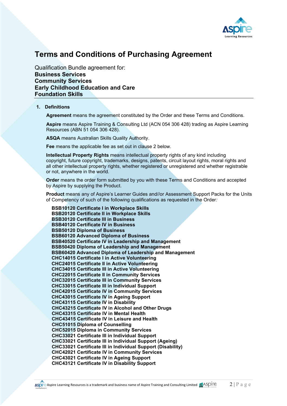

# **Terms and Conditions of Purchasing Agreement**

Qualification Bundle agreement for: **Business Services Community Services Early Childhood Education and Care Foundation Skills**

#### **1. Definitions**

**Agreement** means the agreement constituted by the Order and these Terms and Conditions.

**Aspire** means Aspire Training & Consulting Ltd (ACN 054 306 428) trading as Aspire Learning Resources (ABN 51 054 306 428).

**ASQA** means Australian Skills Quality Authority.

**Fee** means the applicable fee as set out in clause 2 below.

**Intellectual Property Rights** means intellectual property rights of any kind including copyright, future copyright, trademarks, designs, patents, circuit layout rights, moral rights and all other intellectual property rights, whether registered or unregistered and whether registrable or not, anywhere in the world.

**Order** means the order form submitted by you with these Terms and Conditions and accepted by Aspire by supplying the Product.

**Product** means any of Aspire's Learner Guides and//or Assessment Support Packs for the Units of Competency of such of the following qualifications as requested in the Order*:*

**BSB10120 Certificate I in Workplace Skills BSB20120 Certificate II in Workplace Skills BSB30120 Certificate III in Business BSB40120 Certificate IV in Business BSB50120 Diploma of Business BSB60120 Advanced Diploma of Business BSB40520 Certificate IV in Leadership and Management BSB50420 Diploma of Leadership and Management BSB60420 Advanced Diploma of Leadership and Management CHC14015 Certificate I in Active Volunteering CHC24015 Certificate II in Active Volunteering CHC34015 Certificate III in Active Volunteering CHC22015 Certificate II in Community Services CHC32015 Certificate III in Community Services CHC33015 Certificate III in Individual Support CHC42015 Certificate IV in Community Services CHC43015 Certificate IV in Ageing Support CHC43115 Certificate IV in Disability CHC43215 Certificate IV in Alcohol and Other Drugs CHC43315 Certificate IV in Mental Health CHC43415 Certificate IV in Leisure and Health CHC51015 Diploma of Counselling CHC52015 Diploma in Community Services CHC33021 Certificate III in Individual Support CHC33021 Certificate III in Individual Support (Ageing) CHC33021 Certificate III in Individual Support (Disability) CHC42021 Certificate IV in Community Services CHC43021 Certificate IV in Ageing Support CHC43121 Certificate IV in Disability Support**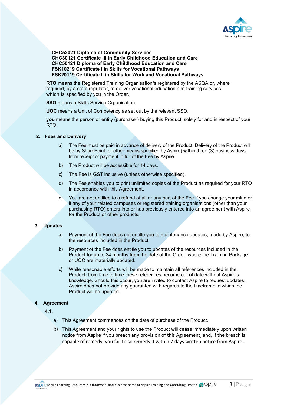

**CHC52021 Diploma of Community Services CHC30121 Certificate III in Early Childhood Education and Care CHC50121 Diploma of Early Childhood Education and Care FSK10219 Certificate I in Skills for Vocational Pathways FSK20119 Certificate II in Skills for Work and Vocational Pathways**

**RTO** means the Registered Training Organisation/s registered by the ASQA or, where required, by a state regulator, to deliver vocational education and training services which is specified by you in the Order.

**SSO** means a Skills Service Organisation.

**UOC** means a Unit of Competency as set out by the relevant SSO.

**you** means the person or entity (purchaser) buying this Product, solely for and in respect of your RTO.

#### **2. Fees and Delivery**

- a) The Fee must be paid in advance of delivery of the Product. Delivery of the Product will be by SharePoint (or other means specified by Aspire) within three (3) business days from receipt of payment in full of the Fee by Aspire.
- b) The Product will be accessible for 14 days.
- c) The Fee is GST inclusive (unless otherwise specified).
- d) The Fee enables you to print unlimited copies of the Product as required for your RTO in accordance with this Agreement.
- e) You are not entitled to a refund of all or any part of the Fee if you change your mind or if any of your related campuses or registered training organisations (other than your purchasing RTO) enters into or has previously entered into an agreement with Aspire for the Product or other products.

## **3. Updates**

- a) Payment of the Fee does not entitle you to maintenance updates, made by Aspire, to the resources included in the Product.
- b) Payment of the Fee does entitle you to updates of the resources included in the Product for up to 24 months from the date of the Order, where the Training Package or UOC are materially updated.
- c) While reasonable efforts will be made to maintain all references included in the Product, from time to time these references become out of date without Aspire's knowledge. Should this occur, you are invited to contact Aspire to request updates. Aspire does not provide any guarantee with regards to the timeframe in which the Product will be updated.

### **4. Agreement**

**4.1.** 

- a) This Agreement commences on the date of purchase of the Product.
- b) This Agreement and your rights to use the Product will cease immediately upon written notice from Aspire if you breach any provision of this Agreement, and, if the breach is capable of remedy, you fail to so remedy it within 7 days written notice from Aspire.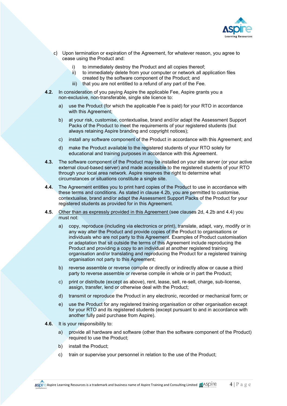

- c) Upon termination or expiration of the Agreement, for whatever reason, you agree to cease using the Product and:
	- i) to immediately destroy the Product and all copies thereof;<br>ii) to immediately delete from your computer or network all are
	- to immediately delete from your computer or network all application files created by the software component of the Product; and
	- iii) that you are not entitled to a refund of any part of the Fee.
- **4.2.** In consideration of you paying Aspire the applicable Fee, Aspire grants you a non-exclusive, non-transferable, single site licence to:
	- a) use the Product (for which the applicable Fee is paid) for your RTO in accordance with this Agreement;
	- b) at your risk, customise, contextualise, brand and//or adapt the Assessment Support Packs of the Product to meet the requirements of your registered students (but always retaining Aspire branding and copyright notices);
	- c) install any software component of the Product in accordance with this Agreement; and
	- d) make the Product available to the registered students of your RTO solely for educational and training purposes in accordance with this Agreement.
- **4.3.** The software component of the Product may be installed on your site server (or your active external cloud-based server) and made accessible to the registered students of your RTO through your local area network. Aspire reserves the right to determine what circumstances or situations constitute a single site.
- **4.4.** The Agreement entitles you to print hard copies of the Product to use in accordance with these terms and conditions. As stated in clause 4.2b, you are permitted to customise, contextualise, brand and/or adapt the Assessment Support Packs of the Product for your registered students as provided for in this Agreement.
- **4.5.** Other than as expressly provided in this Agreement (see clauses 2d, 4.2b and 4.4) you must not:
	- a) copy, reproduce (including via electronics or print), translate, adapt, vary, modify or in any way alter the Product and provide copies of the Product to organisations or individuals who are not party to this Agreement. Examples of Product customisation or adaptation that sit outside the terms of this Agreement include reproducing the Product and providing a copy to an individual at another registered training organisation and/or translating and reproducing the Product for a registered training organisation not party to this Agreement;
	- b) reverse assemble or reverse compile or directly or indirectly allow or cause a third party to reverse assemble or reverse compile in whole or in part the Product;
	- c) print or distribute (except as above), rent, lease, sell, re-sell, charge, sub-license, assign, transfer, lend or otherwise deal with the Product;
	- d) transmit or reproduce the Product in any electronic, recorded or mechanical form; or
	- e) use the Product for any registered training organisation or other organisation except for your RTO and its registered students (except pursuant to and in accordance with another fully paid purchase from Aspire).
- **4.6.** It is your responsibility to:
	- a) provide all hardware and software (other than the software component of the Product) required to use the Product;
	- b) install the Product;
	- c) train or supervise your personnel in relation to the use of the Product;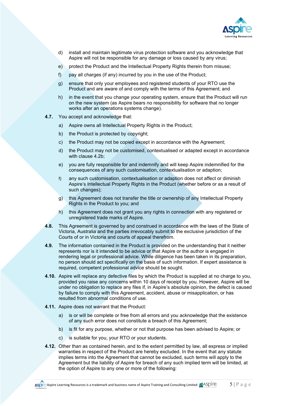

- d) install and maintain legitimate virus protection software and you acknowledge that Aspire will not be responsible for any damage or loss caused by any virus;
- e) protect the Product and the Intellectual Property Rights therein from misuse;
- f) pay all charges (if any) incurred by you in the use of the Product;
- g) ensure that only your employees and registered students of your RTO use the Product and are aware of and comply with the terms of this Agreement; and
- h) in the event that you change your operating system, ensure that the Product will run on the new system (as Aspire bears no responsibility for software that no longer works after an operations systems change).
- **4.7.** You accept and acknowledge that:
	- a) Aspire owns all Intellectual Property Rights in the Product;
	- b) the Product is protected by copyright;
	- c) the Product may not be copied except in accordance with the Agreement;
	- d) the Product may not be customised, contextualised or adapted except in accordance with clause 4.2b;
	- e) you are fully responsible for and indemnify and will keep Aspire indemnified for the consequences of any such customisation, contextualisation or adaption;
	- f) any such customisation, contextualisation or adaption does not affect or diminish Aspire's Intellectual Property Rights in the Product (whether before or as a result of such changes);
	- g) this Agreement does not transfer the title or ownership of any Intellectual Property Rights in the Product to you; and
	- h) this Agreement does not grant you any rights in connection with any registered or unregistered trade marks of Aspire.
- **4.8.** This Agreement is governed by and construed in accordance with the laws of the State of Victoria, Australia and the parties irrevocably submit to the exclusive jurisdiction of the Courts of or in Victoria and courts of appeal therefrom.
- **4.9.** The information contained in the Product is provided on the understanding that it neither represents nor is it intended to be advice or that Aspire or the author is engaged in rendering legal or professional advice. While diligence has been taken in its preparation, no person should act specifically on the basis of such information. If expert assistance is required, competent professional advice should be sought.
- **4.10.** Aspire will replace any defective files by which the Product is supplied at no charge to you, provided you raise any concerns within 10 days of receipt by you. However, Aspire will be under no obligation to replace any files if, in Aspire's absolute opinion, the defect is caused by failure to comply with this Agreement, accident, abuse or misapplication, or has resulted from abnormal conditions of use.
- **4.11.** Aspire does not warrant that the Product:
	- a) is or will be complete or free from all errors and you acknowledge that the existence of any such error does not constitute a breach of this Agreement;
	- b) is fit for any purpose, whether or not that purpose has been advised to Aspire; or
	- c) is suitable for you, your RTO or your students.
- **4.12.** Other than as contained herein, and to the extent permitted by law, all express or implied warranties in respect of the Product are hereby excluded. In the event that any statute implies terms into the Agreement that cannot be excluded, such terms will apply to the Agreement but the liability of Aspire for breach of any such implied term will be limited, at the option of Aspire to any one or more of the following:

Aspire Aspire Learning Resources is a trademark and business name of Aspire Training and Consulting Limited  $\frac{d}{dx}$ ASDITE 5 | Page